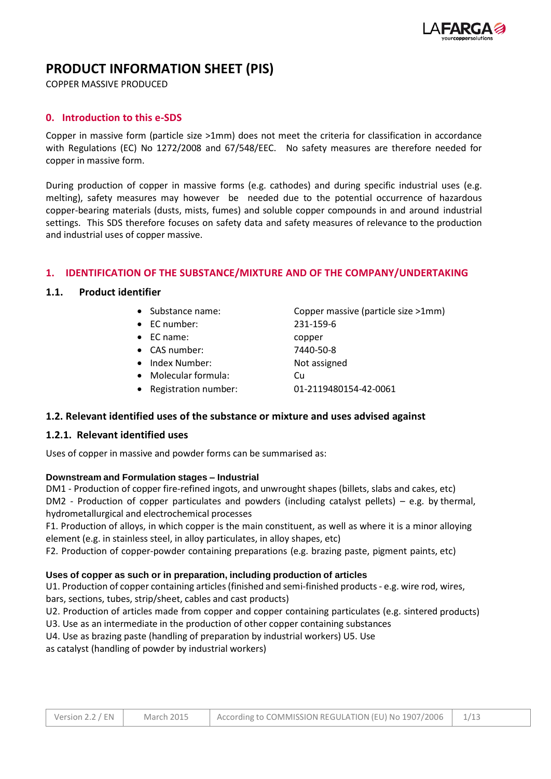

# **PRODUCT INFORMATION SHEET (PIS)**

COPPER MASSIVE PRODUCED

### **0. Introduction to this e-SDS**

Copper in massive form (particle size >1mm) does not meet the criteria for classification in accordance with Regulations (EC) No 1272/2008 and 67/548/EEC. No safety measures are therefore needed for copper in massive form.

During production of copper in massive forms (e.g. cathodes) and during specific industrial uses (e.g. melting), safety measures may however be needed due to the potential occurrence of hazardous copper-bearing materials (dusts, mists, fumes) and soluble copper compounds in and around industrial settings. This SDS therefore focuses on safety data and safety measures of relevance to the production and industrial uses of copper massive.

### **1. IDENTIFICATION OF THE SUBSTANCE/MIXTURE AND OF THE COMPANY/UNDERTAKING**

### **1.1. Product identifier**

- 
- EC number: 231-159-6
- EC name: copper
- CAS number: 7440-50-8
- Index Number: Not assigned
- Molecular formula: Cu
- Registration number: 01-2119480154-42-0061

• Substance name: Copper massive (particle size >1mm)

### **1.2. Relevant identified uses of the substance or mixture and uses advised against**

### **1.2.1. Relevant identified uses**

Uses of copper in massive and powder forms can be summarised as:

#### **Downstream and Formulation stages – Industrial**

DM1 - Production of copper fire-refined ingots, and unwrought shapes (billets, slabs and cakes, etc)  $DM2$  - Production of copper particulates and powders (including catalyst pellets) – e.g. by thermal, hydrometallurgical and electrochemical processes

F1. Production of alloys, in which copper is the main constituent, as well as where it is a minor alloying element (e.g. in stainless steel, in alloy particulates, in alloy shapes, etc)

F2. Production of copper-powder containing preparations (e.g. brazing paste, pigment paints, etc)

#### **Uses of copper as such or in preparation, including production of articles**

U1. Production of copper containing articles (finished and semi-finished products - e.g. wire rod, wires, bars, sections, tubes, strip/sheet, cables and cast products)

U2. Production of articles made from copper and copper containing particulates (e.g. sintered products)

U3. Use as an intermediate in the production of other copper containing substances

U4. Use as brazing paste (handling of preparation by industrial workers) U5. Use

as catalyst (handling of powder by industrial workers)

| Version 2.2 / EN | <b>March 2015</b> | According to COMMISSION REGULATION (EU) No 1907/2006 | 1/13 |
|------------------|-------------------|------------------------------------------------------|------|
|------------------|-------------------|------------------------------------------------------|------|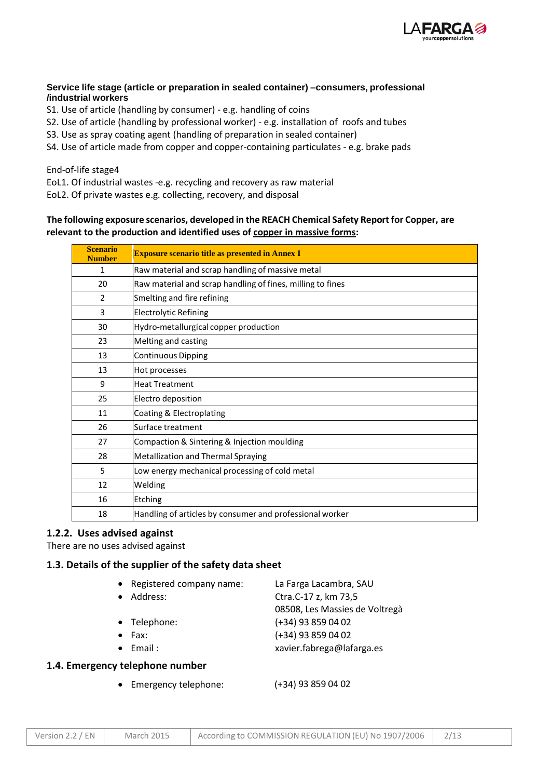

### **Service life stage (article or preparation in sealed container) –consumers, professional /industrial workers**

- S1. Use of article (handling by consumer) e.g. handling of coins
- S2. Use of article (handling by professional worker) e.g. installation of roofs and tubes
- S3. Use as spray coating agent (handling of preparation in sealed container)
- S4. Use of article made from copper and copper-containing particulates e.g. brake pads

#### End-of-life stage4

EoL1. Of industrial wastes -e.g. recycling and recovery as raw material

EoL2. Of private wastes e.g. collecting, recovery, and disposal

### **The following exposure scenarios, developed in the REACH Chemical Safety Report for Copper, are relevant to the production and identified uses of copper in massive forms:**

| <b>Scenario</b><br><b>Number</b> | <b>Exposure scenario title as presented in Annex I</b>     |
|----------------------------------|------------------------------------------------------------|
| $\mathbf{1}$                     | Raw material and scrap handling of massive metal           |
| 20                               | Raw material and scrap handling of fines, milling to fines |
| $\overline{2}$                   | Smelting and fire refining                                 |
| 3                                | <b>Electrolytic Refining</b>                               |
| 30                               | Hydro-metallurgical copper production                      |
| 23                               | Melting and casting                                        |
| 13                               | <b>Continuous Dipping</b>                                  |
| 13                               | Hot processes                                              |
| 9                                | <b>Heat Treatment</b>                                      |
| 25                               | Electro deposition                                         |
| 11                               | Coating & Electroplating                                   |
| 26                               | Surface treatment                                          |
| 27                               | Compaction & Sintering & Injection moulding                |
| 28                               | Metallization and Thermal Spraying                         |
| 5                                | Low energy mechanical processing of cold metal             |
| 12                               | Welding                                                    |
| 16                               | Etching                                                    |
| 18                               | Handling of articles by consumer and professional worker   |

### **1.2.2. Uses advised against**

There are no uses advised against

### **1.3. Details of the supplier of the safety data sheet**

| • Registered company name: | La Farga Lacambra, SAU         |
|----------------------------|--------------------------------|
| Address:                   | Ctra.C-17 z, km 73,5           |
|                            | 08508, Les Massies de Voltregà |
| • Telephone:               | $(+34)$ 93 859 04 02           |
| Fax:                       | $(+34)$ 93 859 04 02           |
| $\bullet$ Email:           | xavier.fabrega@lafarga.es      |
|                            |                                |

### **1.4. Emergency telephone number**

Emergency telephone: (+34) 93 859 04 02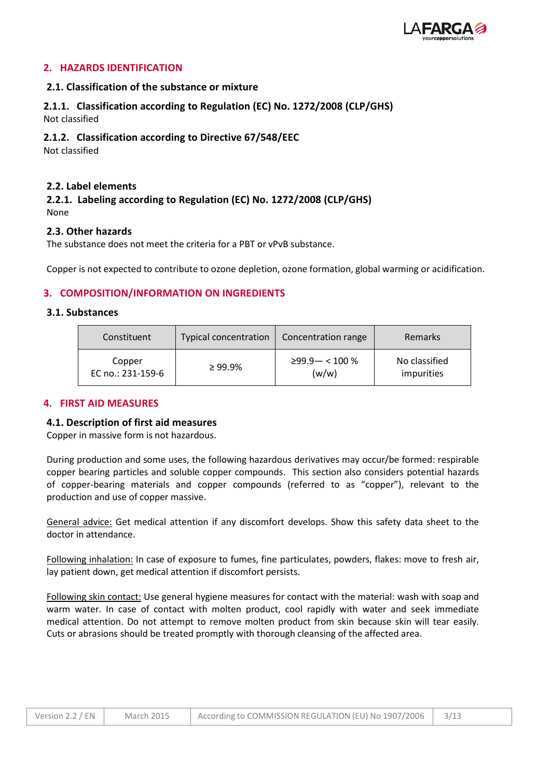

### **2. HAZARDS IDENTIFICATION**

### **2.1. Classification of the substance or mixture**

# **2.1.1. Classification according to Regulation (EC) No. 1272/2008 (CLP/GHS)**

Not classified

### **2.1.2. Classification according to Directive 67/548/EEC**

Not classified

### **2.2. Label elements**

### **2.2.1. Labeling according to Regulation (EC) No. 1272/2008 (CLP/GHS)** None

### **2.3. Other hazards**

The substance does not meet the criteria for a PBT or vPvB substance.

Copper is not expected to contribute to ozone depletion, ozone formation, global warming or acidification.

### **3. COMPOSITION/INFORMATION ON INGREDIENTS**

### **3.1. Substances**

| Constituent       | Typical concentration | Concentration range     | Remarks       |
|-------------------|-----------------------|-------------------------|---------------|
| Copper            | $\geq 99.9\%$         | $\geq$ 99.9 $-$ < 100 % | No classified |
| EC no.: 231-159-6 |                       | (w/w)                   | impurities    |

### **4. FIRST AID MEASURES**

### **4.1. Description of first aid measures**

Copper in massive form is not hazardous.

During production and some uses, the following hazardous derivatives may occur/be formed: respirable copper bearing particles and soluble copper compounds. This section also considers potential hazards of copper-bearing materials and copper compounds (referred to as "copper"), relevant to the production and use of copper massive.

General advice: Get medical attention if any discomfort develops. Show this safety data sheet to the doctor in attendance.

Following inhalation: In case of exposure to fumes, fine particulates, powders, flakes: move to fresh air, lay patient down, get medical attention if discomfort persists.

Following skin contact: Use general hygiene measures for contact with the material: wash with soap and warm water. In case of contact with molten product, cool rapidly with water and seek immediate medical attention. Do not attempt to remove molten product from skin because skin will tear easily. Cuts or abrasions should be treated promptly with thorough cleansing of the affected area.

| Version 2.2 / EN | <b>March 2015</b> | According to COMMISSION REGULATION (EU) No 1907/2006 |  |
|------------------|-------------------|------------------------------------------------------|--|
|------------------|-------------------|------------------------------------------------------|--|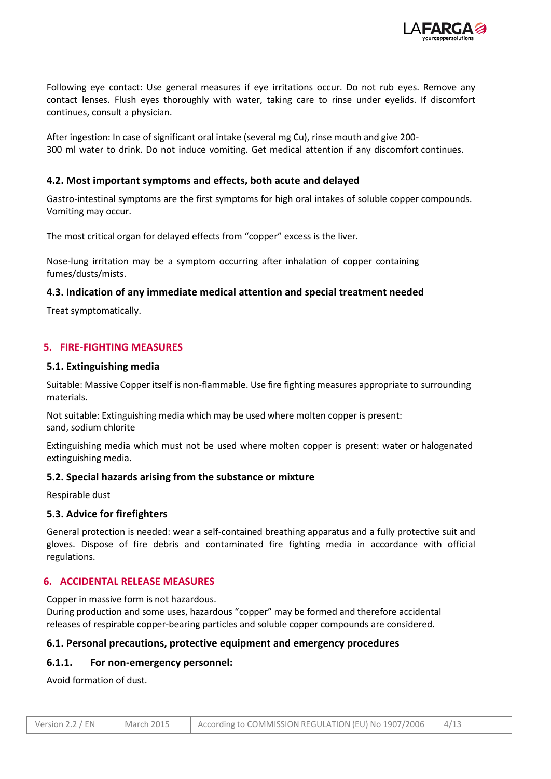

Following eye contact: Use general measures if eye irritations occur. Do not rub eyes. Remove any contact lenses. Flush eyes thoroughly with water, taking care to rinse under eyelids. If discomfort continues, consult a physician.

After ingestion: In case of significant oral intake (several mg Cu), rinse mouth and give 200- 300 ml water to drink. Do not induce vomiting. Get medical attention if any discomfort continues.

### **4.2. Most important symptoms and effects, both acute and delayed**

Gastro-intestinal symptoms are the first symptoms for high oral intakes of soluble copper compounds. Vomiting may occur.

The most critical organ for delayed effects from "copper" excess is the liver.

Nose-lung irritation may be a symptom occurring after inhalation of copper containing fumes/dusts/mists.

### **4.3. Indication of any immediate medical attention and special treatment needed**

Treat symptomatically.

### **5. FIRE-FIGHTING MEASURES**

#### **5.1. Extinguishing media**

Suitable: Massive Copper itself is non-flammable. Use fire fighting measures appropriate to surrounding materials.

Not suitable: Extinguishing media which may be used where molten copper is present: sand, sodium chlorite

Extinguishing media which must not be used where molten copper is present: water or halogenated extinguishing media.

### **5.2. Special hazards arising from the substance or mixture**

Respirable dust

### **5.3. Advice for firefighters**

General protection is needed: wear a self-contained breathing apparatus and a fully protective suit and gloves. Dispose of fire debris and contaminated fire fighting media in accordance with official regulations.

### **6. ACCIDENTAL RELEASE MEASURES**

Copper in massive form is not hazardous.

During production and some uses, hazardous "copper" may be formed and therefore accidental releases of respirable copper-bearing particles and soluble copper compounds are considered.

### **6.1. Personal precautions, protective equipment and emergency procedures**

### **6.1.1. For non-emergency personnel:**

Avoid formation of dust.

| Version 2.2 / EN | March 2015 | According to COMMISSION REGULATION (EU) No 1907/2006 |  |
|------------------|------------|------------------------------------------------------|--|
|------------------|------------|------------------------------------------------------|--|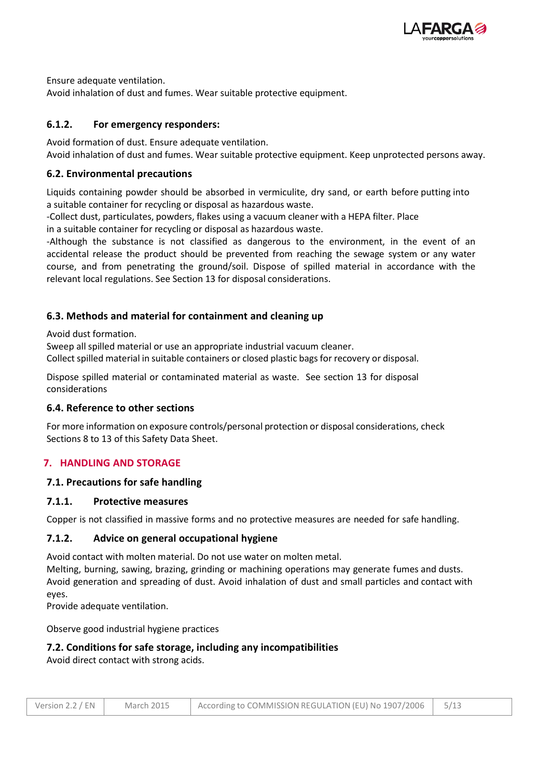

Ensure adequate ventilation.

Avoid inhalation of dust and fumes. Wear suitable protective equipment.

# **6.1.2. For emergency responders:**

Avoid formation of dust. Ensure adequate ventilation. Avoid inhalation of dust and fumes. Wear suitable protective equipment. Keep unprotected persons away.

### **6.2. Environmental precautions**

Liquids containing powder should be absorbed in vermiculite, dry sand, or earth before putting into a suitable container for recycling or disposal as hazardous waste.

-Collect dust, particulates, powders, flakes using a vacuum cleaner with a HEPA filter. Place

in a suitable container for recycling or disposal as hazardous waste.

-Although the substance is not classified as dangerous to the environment, in the event of an accidental release the product should be prevented from reaching the sewage system or any water course, and from penetrating the ground/soil. Dispose of spilled material in accordance with the relevant local regulations. See Section 13 for disposal considerations.

### **6.3. Methods and material for containment and cleaning up**

Avoid dust formation.

Sweep all spilled material or use an appropriate industrial vacuum cleaner. Collect spilled material in suitable containers or closed plastic bags for recovery or disposal.

Dispose spilled material or contaminated material as waste. See section 13 for disposal considerations

### **6.4. Reference to other sections**

For more information on exposure controls/personal protection or disposal considerations, check Sections 8 to 13 of this Safety Data Sheet.

### **7. HANDLING AND STORAGE**

### **7.1. Precautions for safe handling**

### **7.1.1. Protective measures**

Copper is not classified in massive forms and no protective measures are needed for safe handling.

### **7.1.2. Advice on general occupational hygiene**

Avoid contact with molten material. Do not use water on molten metal.

Melting, burning, sawing, brazing, grinding or machining operations may generate fumes and dusts. Avoid generation and spreading of dust. Avoid inhalation of dust and small particles and contact with eyes.

Provide adequate ventilation.

Observe good industrial hygiene practices

### **7.2. Conditions for safe storage, including any incompatibilities**

Avoid direct contact with strong acids.

| Version 2.2 / EN | <b>March 2015</b> | According to COMMISSION REGULATION (EU) No 1907/2006   5/13 |  |
|------------------|-------------------|-------------------------------------------------------------|--|
|------------------|-------------------|-------------------------------------------------------------|--|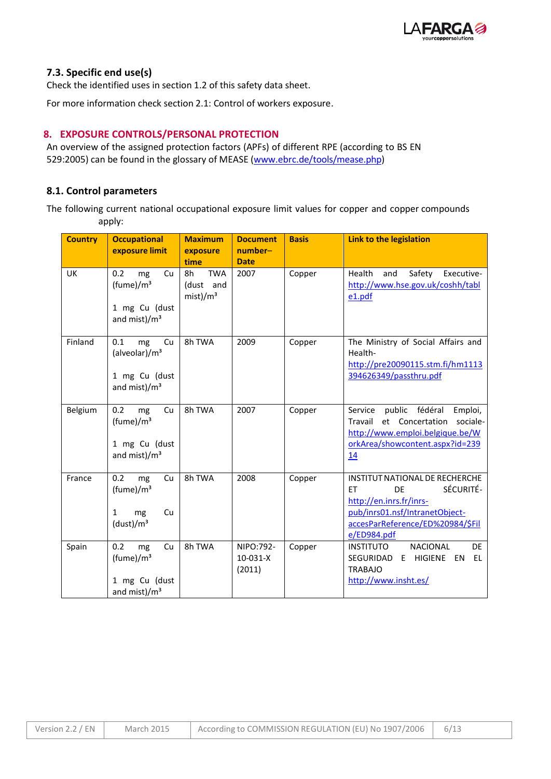

### **7.3. Specific end use(s)**

Check the identified uses in section 1.2 of this safety data sheet.

For more information check section 2.1: Control of workers exposure.

# **8. EXPOSURE CONTROLS/PERSONAL PROTECTION**

An overview of the assigned protection factors (APFs) of different RPE (according to BS EN 529:2005) can be found in the glossary of MEASE [\(www.ebrc.de/tools/mease.php\)](http://www.ebrc.de/tools/mease.php)

### **8.1. Control parameters**

The following current national occupational exposure limit values for copper and copper compounds apply:

| <b>Country</b> | <b>Occupational</b><br>exposure limit                                                     | <b>Maximum</b><br>exposure<br>time                    | <b>Document</b><br>number-<br><b>Date</b> | <b>Basis</b> | <b>Link to the legislation</b>                                                                                                                                           |
|----------------|-------------------------------------------------------------------------------------------|-------------------------------------------------------|-------------------------------------------|--------------|--------------------------------------------------------------------------------------------------------------------------------------------------------------------------|
| <b>UK</b>      | 0.2<br>mg<br>Cu<br>(fume)/m <sup>3</sup><br>1 mg Cu (dust<br>and mist)/m <sup>3</sup>     | <b>TWA</b><br>8h<br>(dust and<br>mist)/m <sup>3</sup> | 2007                                      | Copper       | Health<br>and<br>Safety<br>Executive-<br>http://www.hse.gov.uk/coshh/tabl<br>e1.pdf                                                                                      |
| Finland        | 0.1<br>mg<br>Cu<br>(alveolar)/m <sup>3</sup><br>1 mg Cu (dust<br>and mist)/m <sup>3</sup> | 8h TWA                                                | 2009                                      | Copper       | The Ministry of Social Affairs and<br>Health-<br>http://pre20090115.stm.fi/hm1113<br>394626349/passthru.pdf                                                              |
| Belgium        | 0.2<br>Cu<br>mg<br>(fume)/m <sup>3</sup><br>1 mg Cu (dust<br>and mist)/m <sup>3</sup>     | 8h TWA                                                | 2007                                      | Copper       | public fédéral<br>Service<br>Emploi,<br>et Concertation sociale-<br>Travail<br>http://www.emploi.belgique.be/W<br>orkArea/showcontent.aspx?id=239<br>14                  |
| France         | 0.2<br>mg<br>Cu<br>(fume)/m <sup>3</sup><br>Cu<br>1<br>mg<br>(dust)/m <sup>3</sup>        | 8h TWA                                                | 2008                                      | Copper       | INSTITUT NATIONAL DE RECHERCHE<br>SÉCURITÉ-<br>FT.<br>DF<br>http://en.inrs.fr/inrs-<br>pub/inrs01.nsf/IntranetObject-<br>accesParReference/ED%20984/\$Fil<br>e/ED984.pdf |
| Spain          | 0.2<br>mg<br>Cu<br>(fume)/m <sup>3</sup><br>1 mg Cu (dust<br>and mist)/m <sup>3</sup>     | 8h TWA                                                | NIPO:792-<br>$10-031-X$<br>(2011)         | Copper       | <b>NACIONAL</b><br><b>INSTITUTO</b><br><b>DE</b><br>SEGURIDAD E HIGIENE EN<br>EL<br><b>TRABAJO</b><br>http://www.insht.es/                                               |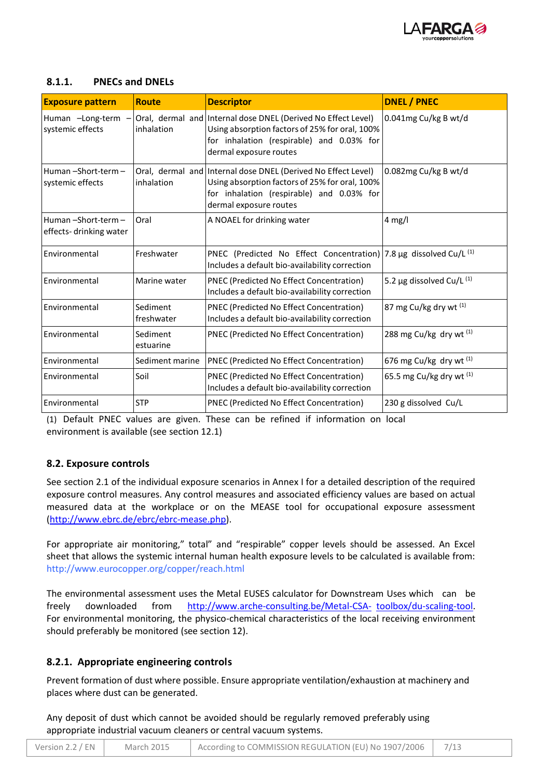

## **8.1.1. PNECs and DNELs**

| <b>Exposure pattern</b>                                          | <b>Route</b>           | <b>Descriptor</b>                                                                                                                                                                      | <b>DNEL / PNEC</b>          |
|------------------------------------------------------------------|------------------------|----------------------------------------------------------------------------------------------------------------------------------------------------------------------------------------|-----------------------------|
| Human -Long-term<br>$\overline{\phantom{m}}$<br>systemic effects | inhalation             | Oral, dermal and Internal dose DNEL (Derived No Effect Level)<br>Using absorption factors of 25% for oral, 100%<br>for inhalation (respirable) and 0.03% for<br>dermal exposure routes | 0.041mg Cu/kg B wt/d        |
| Human-Short-term-<br>systemic effects                            | inhalation             | Oral, dermal and Internal dose DNEL (Derived No Effect Level)<br>Using absorption factors of 25% for oral, 100%<br>for inhalation (respirable) and 0.03% for<br>dermal exposure routes | 0.082mg Cu/kg B wt/d        |
| Human-Short-term-<br>effects-drinking water                      | Oral                   | A NOAEL for drinking water                                                                                                                                                             | $4$ mg/l                    |
| Environmental                                                    | Freshwater             | PNEC (Predicted No Effect Concentration)<br>Includes a default bio-availability correction                                                                                             | 7.8 µg dissolved Cu/L $(1)$ |
| Environmental                                                    | Marine water           | PNEC (Predicted No Effect Concentration)<br>Includes a default bio-availability correction                                                                                             | 5.2 µg dissolved Cu/L $(1)$ |
| Environmental                                                    | Sediment<br>freshwater | PNEC (Predicted No Effect Concentration)<br>Includes a default bio-availability correction                                                                                             | 87 mg Cu/kg dry wt (1)      |
| Environmental                                                    | Sediment<br>estuarine  | PNEC (Predicted No Effect Concentration)                                                                                                                                               | 288 mg Cu/kg dry wt (1)     |
| Environmental                                                    | Sediment marine        | <b>PNEC (Predicted No Effect Concentration)</b>                                                                                                                                        | 676 mg Cu/kg dry wt $(1)$   |
| Environmental                                                    | Soil                   | PNEC (Predicted No Effect Concentration)<br>Includes a default bio-availability correction                                                                                             | 65.5 mg Cu/kg dry wt $(1)$  |
| Environmental                                                    | <b>STP</b>             | PNEC (Predicted No Effect Concentration)                                                                                                                                               | 230 g dissolved Cu/L        |

(1) Default PNEC values are given. These can be refined if information on local environment is available (see section 12.1)

# **8.2. Exposure controls**

See section 2.1 of the individual exposure scenarios in Annex I for a detailed description of the required exposure control measures. Any control measures and associated efficiency values are based on actual measured data at the workplace or on the MEASE tool for occupational exposure assessment [\(http://www.ebrc.de/ebrc/ebrc-mease.php\)](http://www.ebrc.de/ebrc/ebrc-mease.php).

For appropriate air monitoring," total" and "respirable" copper levels should be assessed. An Excel sheet that allows the systemic internal human health exposure levels to be calculated is available from: <http://www.eurocopper.org/copper/reach.html>

The environmental assessment uses the Metal EUSES calculator for Downstream Uses which can be freely downloaded from [http://www.arche-consulting.be/Metal-CSA-](http://www.arche-consulting.be/Metal-CSA-toolbox/du-scaling-tool)[toolbox/du-scaling-tool.](http://www.arche-consulting.be/Metal-CSA-toolbox/du-scaling-tool) For environmental monitoring, the physico-chemical characteristics of the local receiving environment should preferably be monitored (see section 12).

### **8.2.1. Appropriate engineering controls**

Prevent formation of dust where possible. Ensure appropriate ventilation/exhaustion at machinery and places where dust can be generated.

Any deposit of dust which cannot be avoided should be regularly removed preferably using appropriate industrial vacuum cleaners or central vacuum systems.

| Version 2.2 / $EN$ | March 2015 | According to COMMISSION REGULATION (EU) No 1907/2006 |  |
|--------------------|------------|------------------------------------------------------|--|
|--------------------|------------|------------------------------------------------------|--|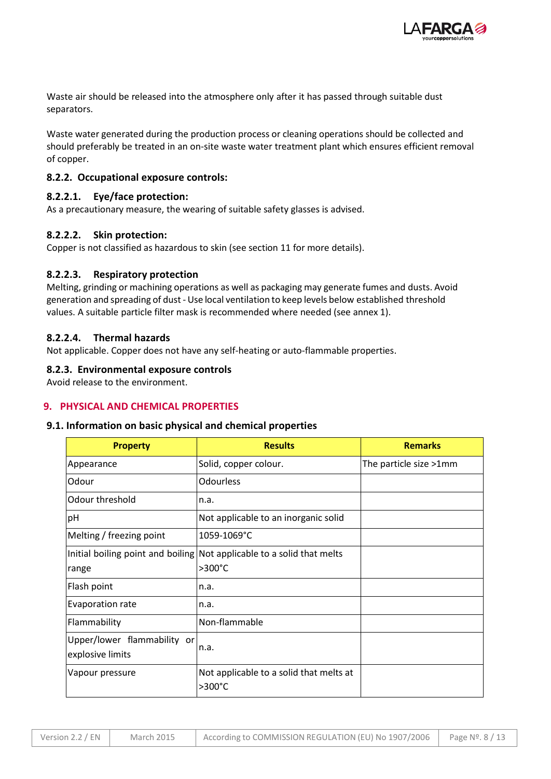

Waste air should be released into the atmosphere only after it has passed through suitable dust separators.

Waste water generated during the production process or cleaning operations should be collected and should preferably be treated in an on-site waste water treatment plant which ensures efficient removal of copper.

### **8.2.2. Occupational exposure controls:**

### **8.2.2.1. Eye/face protection:**

As a precautionary measure, the wearing of suitable safety glasses is advised.

### **8.2.2.2. Skin protection:**

Copper is not classified as hazardous to skin (see section 11 for more details).

### **8.2.2.3. Respiratory protection**

Melting, grinding or machining operations as well as packaging may generate fumes and dusts. Avoid generation and spreading of dust - Use local ventilation to keep levels below established threshold values. A suitable particle filter mask is recommended where needed (see annex 1).

### **8.2.2.4. Thermal hazards**

Not applicable. Copper does not have any self-heating or auto-flammable properties.

### **8.2.3. Environmental exposure controls**

Avoid release to the environment.

### **9. PHYSICAL AND CHEMICAL PROPERTIES**

### **9.1. Information on basic physical and chemical properties**

| <b>Property</b>                                 | <b>Results</b>                                                                   | <b>Remarks</b>         |
|-------------------------------------------------|----------------------------------------------------------------------------------|------------------------|
| Appearance                                      | Solid, copper colour.                                                            | The particle size >1mm |
| Odour                                           | <b>Odourless</b>                                                                 |                        |
| Odour threshold                                 | n.a.                                                                             |                        |
| pH                                              | Not applicable to an inorganic solid                                             |                        |
| Melting / freezing point                        | 1059-1069°C                                                                      |                        |
| range                                           | Initial boiling point and boiling Not applicable to a solid that melts<br>>300°C |                        |
| Flash point                                     | n.a.                                                                             |                        |
| Evaporation rate                                | n.a.                                                                             |                        |
| Flammability                                    | Non-flammable                                                                    |                        |
| Upper/lower flammability or<br>explosive limits | n.a.                                                                             |                        |
| Vapour pressure                                 | Not applicable to a solid that melts at<br>$>300^{\circ}$ C                      |                        |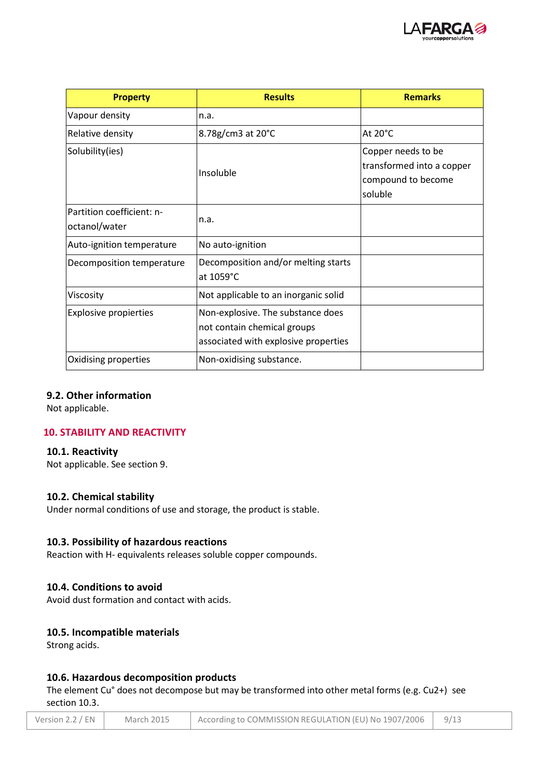

| <b>Property</b>                            | <b>Results</b>                                                                                           | <b>Remarks</b>                                                                   |
|--------------------------------------------|----------------------------------------------------------------------------------------------------------|----------------------------------------------------------------------------------|
| Vapour density                             | n.a.                                                                                                     |                                                                                  |
| Relative density                           | 8.78g/cm3 at 20°C                                                                                        | At 20°C                                                                          |
| Solubility(ies)                            | Insoluble                                                                                                | Copper needs to be<br>transformed into a copper<br>compound to become<br>soluble |
| Partition coefficient: n-<br>octanol/water | n.a.                                                                                                     |                                                                                  |
| Auto-ignition temperature                  | No auto-ignition                                                                                         |                                                                                  |
| Decomposition temperature                  | Decomposition and/or melting starts<br>at 1059°C                                                         |                                                                                  |
| Viscosity                                  | Not applicable to an inorganic solid                                                                     |                                                                                  |
| <b>Explosive propierties</b>               | Non-explosive. The substance does<br>not contain chemical groups<br>associated with explosive properties |                                                                                  |
| Oxidising properties                       | Non-oxidising substance.                                                                                 |                                                                                  |

### **9.2. Other information**

Not applicable.

## **10. STABILITY AND REACTIVITY**

### **10.1. Reactivity**

Not applicable. See section 9.

### **10.2. Chemical stability**

Under normal conditions of use and storage, the product is stable.

### **10.3. Possibility of hazardous reactions**

Reaction with H- equivalents releases soluble copper compounds.

### **10.4. Conditions to avoid**

Avoid dust formation and contact with acids.

## **10.5. Incompatible materials**

Strong acids.

### **10.6. Hazardous decomposition products**

The element Cu° does not decompose but may be transformed into other metal forms (e.g. Cu2+) see section 10.3.

| Version 2.2 / $EN$ | March 2015 | According to COMMISSION REGULATION (EU) No 1907/2006 | 9/13 |
|--------------------|------------|------------------------------------------------------|------|
|--------------------|------------|------------------------------------------------------|------|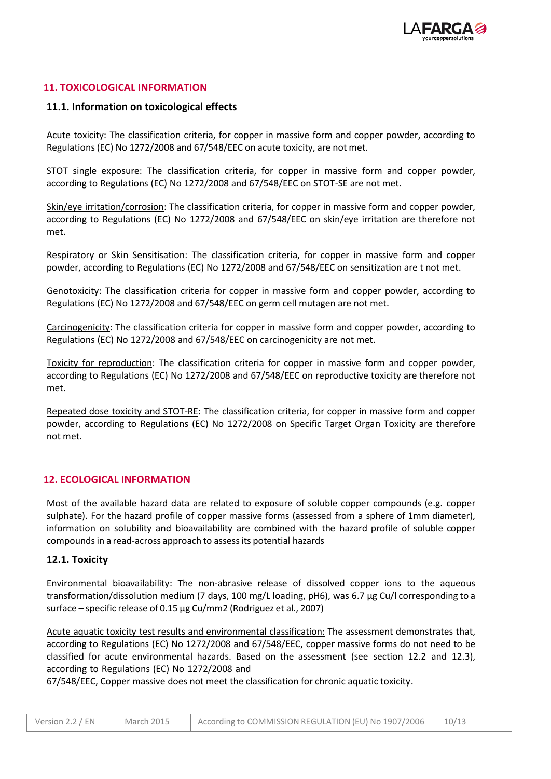

### **11. TOXICOLOGICAL INFORMATION**

### **11.1. Information on toxicological effects**

Acute toxicity: The classification criteria, for copper in massive form and copper powder, according to Regulations (EC) No 1272/2008 and 67/548/EEC on acute toxicity, are not met.

STOT single exposure: The classification criteria, for copper in massive form and copper powder, according to Regulations (EC) No 1272/2008 and 67/548/EEC on STOT-SE are not met.

Skin/eye irritation/corrosion: The classification criteria, for copper in massive form and copper powder, according to Regulations (EC) No 1272/2008 and 67/548/EEC on skin/eye irritation are therefore not met.

Respiratory or Skin Sensitisation: The classification criteria, for copper in massive form and copper powder, according to Regulations (EC) No 1272/2008 and 67/548/EEC on sensitization are t not met.

Genotoxicity: The classification criteria for copper in massive form and copper powder, according to Regulations (EC) No 1272/2008 and 67/548/EEC on germ cell mutagen are not met.

Carcinogenicity: The classification criteria for copper in massive form and copper powder, according to Regulations (EC) No 1272/2008 and 67/548/EEC on carcinogenicity are not met.

Toxicity for reproduction: The classification criteria for copper in massive form and copper powder, according to Regulations (EC) No 1272/2008 and 67/548/EEC on reproductive toxicity are therefore not met.

Repeated dose toxicity and STOT-RE: The classification criteria, for copper in massive form and copper powder, according to Regulations (EC) No 1272/2008 on Specific Target Organ Toxicity are therefore not met.

### **12. ECOLOGICAL INFORMATION**

Most of the available hazard data are related to exposure of soluble copper compounds (e.g. copper sulphate). For the hazard profile of copper massive forms (assessed from a sphere of 1mm diameter), information on solubility and bioavailability are combined with the hazard profile of soluble copper compoundsin a read-across approach to assessits potential hazards

### **12.1. Toxicity**

Environmental bioavailability: The non-abrasive release of dissolved copper ions to the aqueous transformation/dissolution medium (7 days, 100 mg/L loading, pH6), was 6.7 µg Cu/l corresponding to a surface – specific release of 0.15 µg Cu/mm2 (Rodriguez et al., 2007)

Acute aquatic toxicity test results and environmental classification: The assessment demonstrates that, according to Regulations (EC) No 1272/2008 and 67/548/EEC, copper massive forms do not need to be classified for acute environmental hazards. Based on the assessment (see section 12.2 and 12.3), according to Regulations (EC) No 1272/2008 and

67/548/EEC, Copper massive does not meet the classification for chronic aquatic toxicity.

| Version 2.2 / EN | March 2015 | According to COMMISSION REGULATION (EU) No 1907/2006 | 10/13 |
|------------------|------------|------------------------------------------------------|-------|
|------------------|------------|------------------------------------------------------|-------|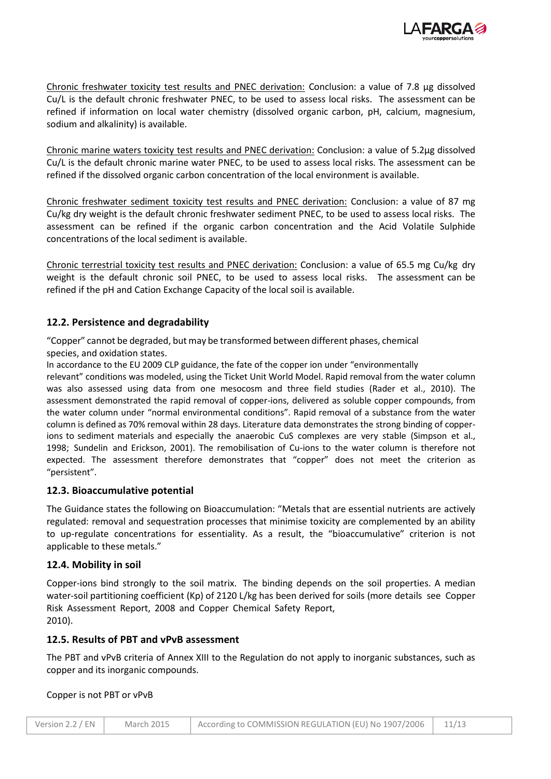

Chronic freshwater toxicity test results and PNEC derivation: Conclusion: a value of 7.8 µg dissolved Cu/L is the default chronic freshwater PNEC, to be used to assess local risks. The assessment can be refined if information on local water chemistry (dissolved organic carbon, pH, calcium, magnesium, sodium and alkalinity) is available.

Chronic marine waters toxicity test results and PNEC derivation: Conclusion: a value of 5.2µg dissolved Cu/L is the default chronic marine water PNEC, to be used to assess local risks. The assessment can be refined if the dissolved organic carbon concentration of the local environment is available.

Chronic freshwater sediment toxicity test results and PNEC derivation: Conclusion: a value of 87 mg Cu/kg dry weight is the default chronic freshwater sediment PNEC, to be used to assess local risks. The assessment can be refined if the organic carbon concentration and the Acid Volatile Sulphide concentrations of the local sediment is available.

Chronic terrestrial toxicity test results and PNEC derivation: Conclusion: a value of 65.5 mg Cu/kg dry weight is the default chronic soil PNEC, to be used to assess local risks. The assessment can be refined if the pH and Cation Exchange Capacity of the local soil is available.

### **12.2. Persistence and degradability**

"Copper" cannot be degraded, but may be transformed between different phases, chemical species, and oxidation states.

In accordance to the EU 2009 CLP guidance, the fate of the copper ion under "environmentally

relevant" conditions was modeled, using the Ticket Unit World Model. Rapid removal from the water column was also assessed using data from one mesocosm and three field studies (Rader et al., 2010). The assessment demonstrated the rapid removal of copper-ions, delivered as soluble copper compounds, from the water column under "normal environmental conditions". Rapid removal of a substance from the water column is defined as 70% removal within 28 days. Literature data demonstrates the strong binding of copperions to sediment materials and especially the anaerobic CuS complexes are very stable (Simpson et al., 1998; Sundelin and Erickson, 2001). The remobilisation of Cu-ions to the water column is therefore not expected. The assessment therefore demonstrates that "copper" does not meet the criterion as "persistent".

### **12.3. Bioaccumulative potential**

The Guidance states the following on Bioaccumulation: "Metals that are essential nutrients are actively regulated: removal and sequestration processes that minimise toxicity are complemented by an ability to up-regulate concentrations for essentiality. As a result, the "bioaccumulative" criterion is not applicable to these metals."

### **12.4. Mobility in soil**

Copper-ions bind strongly to the soil matrix. The binding depends on the soil properties. A median water-soil partitioning coefficient (Kp) of 2120 L/kg has been derived for soils (more details see Copper Risk Assessment Report, 2008 and Copper Chemical Safety Report, 2010).

### **12.5. Results of PBT and vPvB assessment**

The PBT and vPvB criteria of Annex XIII to the Regulation do not apply to inorganic substances, such as copper and its inorganic compounds.

### Copper is not PBT or vPvB

| Version 2.2 / $EN$ | <b>March 2015</b> | According to COMMISSION REGULATION (EU) No 1907/2006 |  |
|--------------------|-------------------|------------------------------------------------------|--|
|--------------------|-------------------|------------------------------------------------------|--|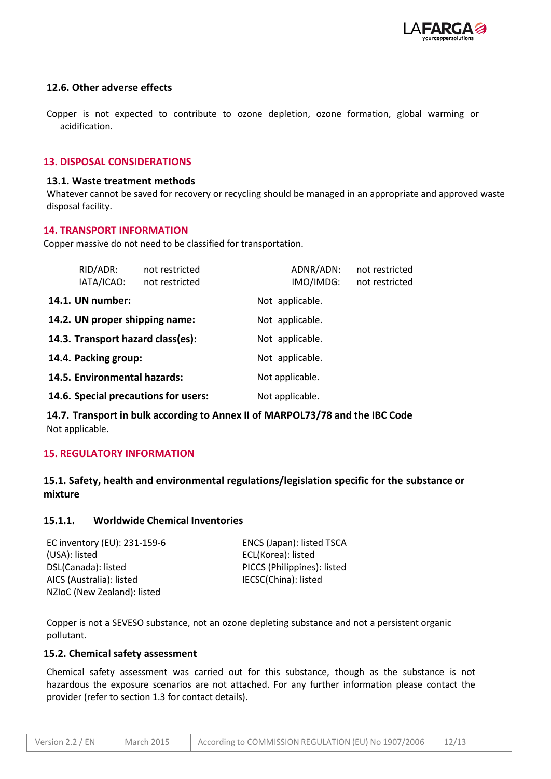

### **12.6. Other adverse effects**

Copper is not expected to contribute to ozone depletion, ozone formation, global warming or acidification.

### **13. DISPOSAL CONSIDERATIONS**

#### **13.1. Waste treatment methods**

Whatever cannot be saved for recovery or recycling should be managed in an appropriate and approved waste disposal facility.

### **14. TRANSPORT INFORMATION**

Copper massive do not need to be classified for transportation.

| RID/ADR:<br>IATA/ICAO:               | not restricted<br>not restricted | ADNR/ADN:<br>IMO/IMDG: | not restricted<br>not restricted |
|--------------------------------------|----------------------------------|------------------------|----------------------------------|
| 14.1. UN number:                     |                                  | Not applicable.        |                                  |
| 14.2. UN proper shipping name:       |                                  | Not applicable.        |                                  |
| 14.3. Transport hazard class(es):    |                                  | Not applicable.        |                                  |
| 14.4. Packing group:                 |                                  | Not applicable.        |                                  |
| 14.5. Environmental hazards:         |                                  | Not applicable.        |                                  |
| 14.6. Special precautions for users: |                                  | Not applicable.        |                                  |

**14.7. Transport in bulk according to Annex II of MARPOL73/78 and the IBC Code** Not applicable.

### **15. REGULATORY INFORMATION**

# **15.1. Safety, health and environmental regulations/legislation specific for the substance or mixture**

### **15.1.1. Worldwide Chemical Inventories**

| EC inventory (EU): 231-159-6 | ENCS (Japan): listed TSCA   |
|------------------------------|-----------------------------|
| (USA): listed                | ECL(Korea): listed          |
| DSL(Canada): listed          | PICCS (Philippines): listed |
| AICS (Australia): listed     | IECSC(China): listed        |
| NZIoC (New Zealand): listed  |                             |

Copper is not a SEVESO substance, not an ozone depleting substance and not a persistent organic pollutant.

#### **15.2. Chemical safety assessment**

Chemical safety assessment was carried out for this substance, though as the substance is not hazardous the exposure scenarios are not attached. For any further information please contact the provider (refer to section 1.3 for contact details).